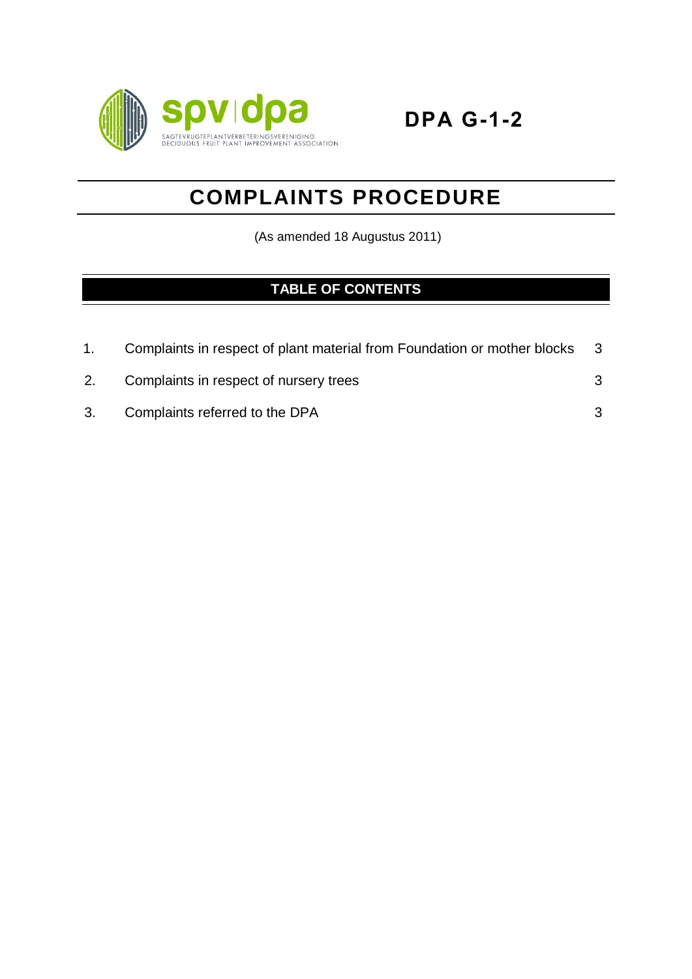

# **COMPLAINTS PROCEDURE**

(As amended 18 Augustus 2011)

# **TABLE OF CONTENTS**

|    | Complaints in respect of plant material from Foundation or mother blocks | - 3 |
|----|--------------------------------------------------------------------------|-----|
| 2. | Complaints in respect of nursery trees                                   |     |
|    | 3. Complaints referred to the DPA                                        |     |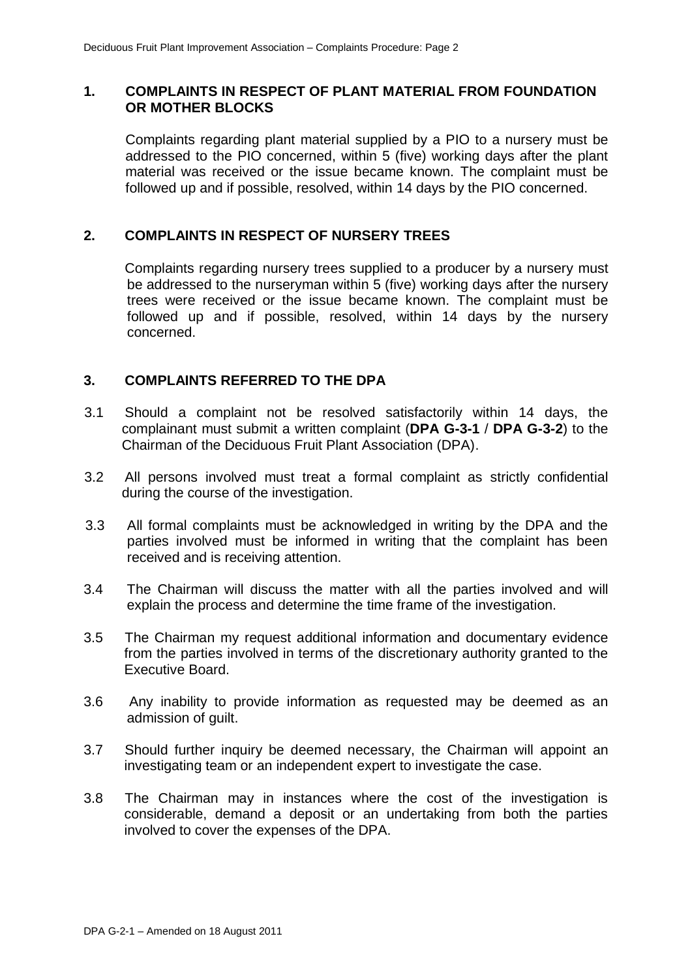#### **1. COMPLAINTS IN RESPECT OF PLANT MATERIAL FROM FOUNDATION OR MOTHER BLOCKS**

Complaints regarding plant material supplied by a PIO to a nursery must be addressed to the PIO concerned, within 5 (five) working days after the plant material was received or the issue became known. The complaint must be followed up and if possible, resolved, within 14 days by the PIO concerned.

## **2. COMPLAINTS IN RESPECT OF NURSERY TREES**

Complaints regarding nursery trees supplied to a producer by a nursery must be addressed to the nurseryman within 5 (five) working days after the nursery trees were received or the issue became known. The complaint must be followed up and if possible, resolved, within 14 days by the nursery concerned.

### **3. COMPLAINTS REFERRED TO THE DPA**

- 3.1 Should a complaint not be resolved satisfactorily within 14 days, the complainant must submit a written complaint (**DPA G-3-1** / **DPA G-3-2**) to the Chairman of the Deciduous Fruit Plant Association (DPA).
- 3.2 All persons involved must treat a formal complaint as strictly confidential during the course of the investigation.
- 3.3 All formal complaints must be acknowledged in writing by the DPA and the parties involved must be informed in writing that the complaint has been received and is receiving attention.
- 3.4 The Chairman will discuss the matter with all the parties involved and will explain the process and determine the time frame of the investigation.
- 3.5 The Chairman my request additional information and documentary evidence from the parties involved in terms of the discretionary authority granted to the Executive Board.
- 3.6 Any inability to provide information as requested may be deemed as an admission of guilt.
- 3.7 Should further inquiry be deemed necessary, the Chairman will appoint an investigating team or an independent expert to investigate the case.
- 3.8 The Chairman may in instances where the cost of the investigation is considerable, demand a deposit or an undertaking from both the parties involved to cover the expenses of the DPA.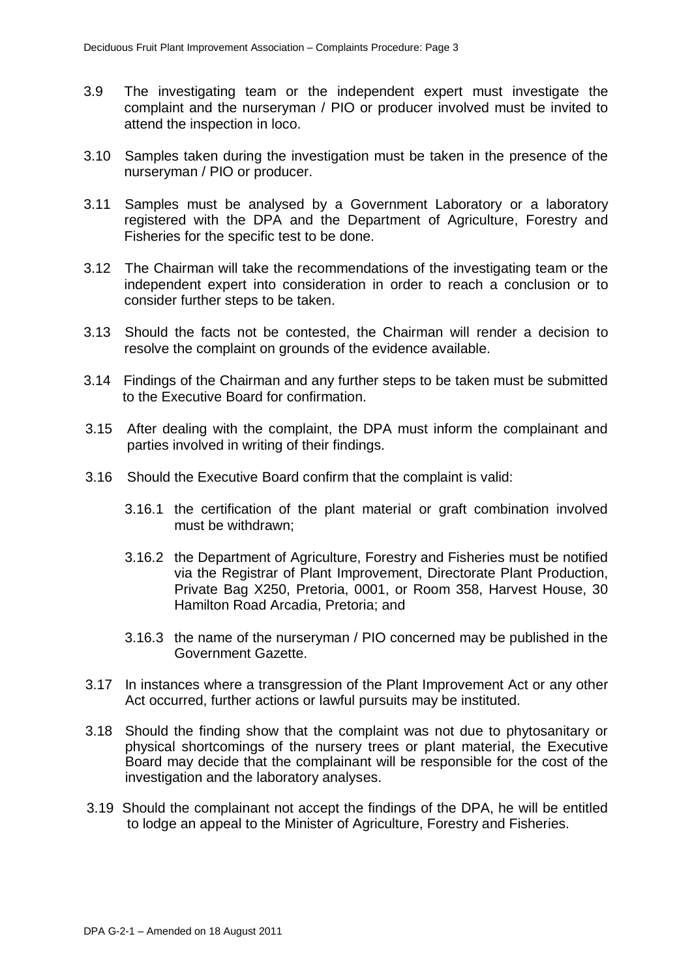- 3.9 The investigating team or the independent expert must investigate the complaint and the nurseryman / PIO or producer involved must be invited to attend the inspection in loco.
- 3.10 Samples taken during the investigation must be taken in the presence of the nurseryman / PIO or producer.
- 3.11 Samples must be analysed by a Government Laboratory or a laboratory registered with the DPA and the Department of Agriculture, Forestry and Fisheries for the specific test to be done.
- 3.12 The Chairman will take the recommendations of the investigating team or the independent expert into consideration in order to reach a conclusion or to consider further steps to be taken.
- 3.13 Should the facts not be contested, the Chairman will render a decision to resolve the complaint on grounds of the evidence available.
- 3.14 Findings of the Chairman and any further steps to be taken must be submitted to the Executive Board for confirmation.
- 3.15 After dealing with the complaint, the DPA must inform the complainant and parties involved in writing of their findings.
- 3.16 Should the Executive Board confirm that the complaint is valid:
	- 3.16.1 the certification of the plant material or graft combination involved must be withdrawn;
	- 3.16.2 the Department of Agriculture, Forestry and Fisheries must be notified via the Registrar of Plant Improvement, Directorate Plant Production, Private Bag X250, Pretoria, 0001, or Room 358, Harvest House, 30 Hamilton Road Arcadia, Pretoria; and
	- 3.16.3 the name of the nurseryman / PIO concerned may be published in the Government Gazette.
- 3.17 In instances where a transgression of the Plant Improvement Act or any other Act occurred, further actions or lawful pursuits may be instituted.
- 3.18 Should the finding show that the complaint was not due to phytosanitary or physical shortcomings of the nursery trees or plant material, the Executive Board may decide that the complainant will be responsible for the cost of the investigation and the laboratory analyses.
- 3.19 Should the complainant not accept the findings of the DPA, he will be entitled to lodge an appeal to the Minister of Agriculture, Forestry and Fisheries.